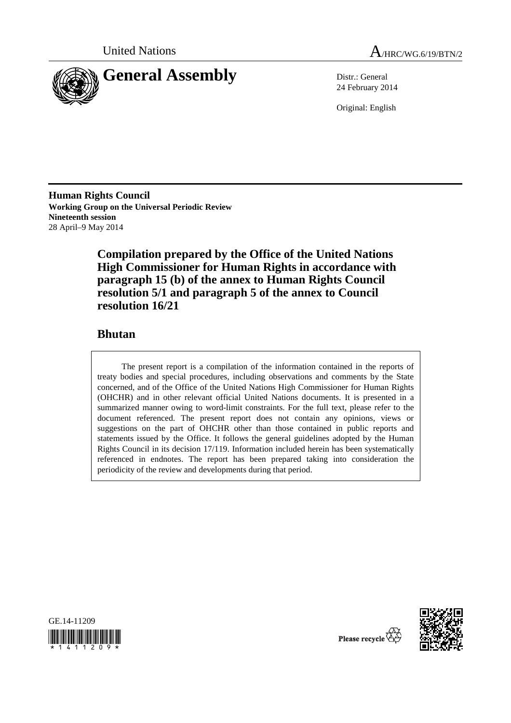



24 February 2014

Original: English

**Human Rights Council Working Group on the Universal Periodic Review Nineteenth session**  28 April–9 May 2014

> **Compilation prepared by the Office of the United Nations High Commissioner for Human Rights in accordance with paragraph 15 (b) of the annex to Human Rights Council resolution 5/1 and paragraph 5 of the annex to Council resolution 16/21**

## **Bhutan**

The present report is a compilation of the information contained in the reports of treaty bodies and special procedures, including observations and comments by the State concerned, and of the Office of the United Nations High Commissioner for Human Rights (OHCHR) and in other relevant official United Nations documents. It is presented in a summarized manner owing to word-limit constraints. For the full text, please refer to the document referenced. The present report does not contain any opinions, views or suggestions on the part of OHCHR other than those contained in public reports and statements issued by the Office. It follows the general guidelines adopted by the Human Rights Council in its decision 17/119. Information included herein has been systematically referenced in endnotes. The report has been prepared taking into consideration the periodicity of the review and developments during that period.





Please recycle  $\vec{\mathcal{R}}$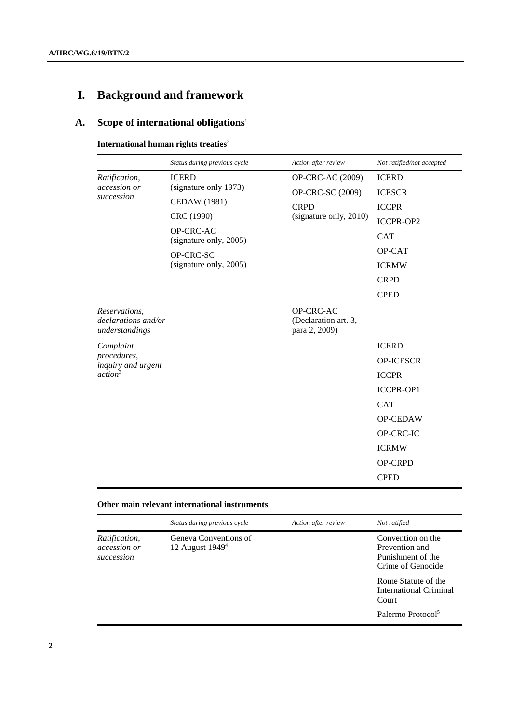# **I. Background and framework**

# **A. Scope of international obligations**<sup>1</sup>

## **International human rights treaties<sup>2</sup>**

|                                                        | Status during previous cycle                 | Action after review                                | Not ratified/not accepted |
|--------------------------------------------------------|----------------------------------------------|----------------------------------------------------|---------------------------|
| Ratification,<br>accession or<br>succession            | <b>ICERD</b>                                 | OP-CRC-AC (2009)                                   | <b>ICERD</b>              |
|                                                        | (signature only 1973)<br><b>CEDAW</b> (1981) | OP-CRC-SC (2009)                                   | <b>ICESCR</b>             |
|                                                        |                                              | <b>CRPD</b><br>(signature only, 2010)              | <b>ICCPR</b>              |
|                                                        | CRC (1990)                                   |                                                    | ICCPR-OP2                 |
|                                                        | OP-CRC-AC<br>(signature only, 2005)          |                                                    | <b>CAT</b>                |
|                                                        | OP-CRC-SC                                    |                                                    | OP-CAT                    |
|                                                        | (signature only, 2005)                       |                                                    | <b>ICRMW</b>              |
|                                                        |                                              |                                                    | <b>CRPD</b>               |
|                                                        |                                              |                                                    | <b>CPED</b>               |
| Reservations,<br>declarations and/or<br>understandings |                                              | OP-CRC-AC<br>(Declaration art. 3,<br>para 2, 2009) |                           |
| Complaint                                              |                                              |                                                    | <b>ICERD</b>              |
| procedures,<br>inquiry and urgent                      |                                              |                                                    | <b>OP-ICESCR</b>          |
| action <sup>3</sup>                                    |                                              |                                                    | <b>ICCPR</b>              |
|                                                        |                                              |                                                    | <b>ICCPR-OP1</b>          |
|                                                        |                                              |                                                    | <b>CAT</b>                |
|                                                        |                                              |                                                    | OP-CEDAW                  |
|                                                        |                                              |                                                    | OP-CRC-IC                 |
|                                                        |                                              |                                                    | <b>ICRMW</b>              |
|                                                        |                                              |                                                    | <b>OP-CRPD</b>            |
|                                                        |                                              |                                                    | <b>CPED</b>               |

## **Other main relevant international instruments**

|                                                                                           | Status during previous cycle | Action after review | Not ratified                                                                  |
|-------------------------------------------------------------------------------------------|------------------------------|---------------------|-------------------------------------------------------------------------------|
| Geneva Conventions of<br>Ratification,<br>12 August $19494$<br>accession or<br>succession |                              |                     | Convention on the<br>Prevention and<br>Punishment of the<br>Crime of Genocide |
|                                                                                           |                              |                     | Rome Statute of the<br>International Criminal<br>Court                        |
|                                                                                           |                              |                     | Palermo Protocol <sup>5</sup>                                                 |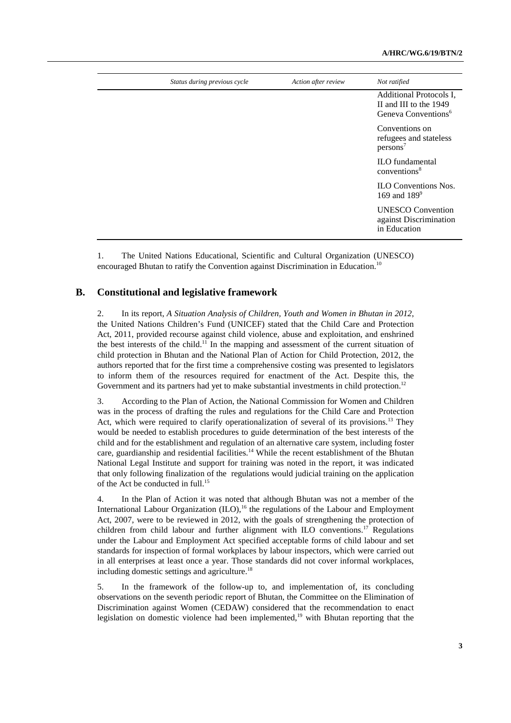| Status during previous cycle | Action after review | Not ratified                                                                         |
|------------------------------|---------------------|--------------------------------------------------------------------------------------|
|                              |                     | Additional Protocols I,<br>II and III to the 1949<br>Geneva Conventions <sup>6</sup> |
|                              |                     | Conventions on<br>refugees and stateless<br>$persons^7$                              |
|                              |                     | <b>ILO</b> fundamental<br>conventions <sup>8</sup>                                   |
|                              |                     | <b>ILO Conventions Nos.</b><br>169 and $189^9$                                       |
|                              |                     | <b>UNESCO</b> Convention<br>against Discrimination<br>in Education                   |
|                              |                     |                                                                                      |

1. The United Nations Educational, Scientific and Cultural Organization (UNESCO) encouraged Bhutan to ratify the Convention against Discrimination in Education.<sup>10</sup>

#### **B. Constitutional and legislative framework**

2. In its report, *A Situation Analysis of Children, Youth and Women in Bhutan in 2012*, the United Nations Children's Fund (UNICEF) stated that the Child Care and Protection Act, 2011, provided recourse against child violence, abuse and exploitation, and enshrined the best interests of the child.<sup>11</sup> In the mapping and assessment of the current situation of child protection in Bhutan and the National Plan of Action for Child Protection, 2012, the authors reported that for the first time a comprehensive costing was presented to legislators to inform them of the resources required for enactment of the Act. Despite this, the Government and its partners had yet to make substantial investments in child protection.<sup>12</sup>

3. According to the Plan of Action, the National Commission for Women and Children was in the process of drafting the rules and regulations for the Child Care and Protection Act, which were required to clarify operationalization of several of its provisions.<sup>13</sup> They would be needed to establish procedures to guide determination of the best interests of the child and for the establishment and regulation of an alternative care system, including foster care, guardianship and residential facilities.<sup>14</sup> While the recent establishment of the Bhutan National Legal Institute and support for training was noted in the report, it was indicated that only following finalization of the regulations would judicial training on the application of the Act be conducted in full.<sup>15</sup>

4. In the Plan of Action it was noted that although Bhutan was not a member of the International Labour Organization  $(ILO)$ ,<sup>16</sup>, the regulations of the Labour and Employment Act, 2007, were to be reviewed in 2012, with the goals of strengthening the protection of children from child labour and further alignment with ILO conventions.<sup>17</sup> Regulations under the Labour and Employment Act specified acceptable forms of child labour and set standards for inspection of formal workplaces by labour inspectors, which were carried out in all enterprises at least once a year. Those standards did not cover informal workplaces, including domestic settings and agriculture.<sup>18</sup>

5. In the framework of the follow-up to, and implementation of, its concluding observations on the seventh periodic report of Bhutan, the Committee on the Elimination of Discrimination against Women (CEDAW) considered that the recommendation to enact legislation on domestic violence had been implemented,<sup>19</sup> with Bhutan reporting that the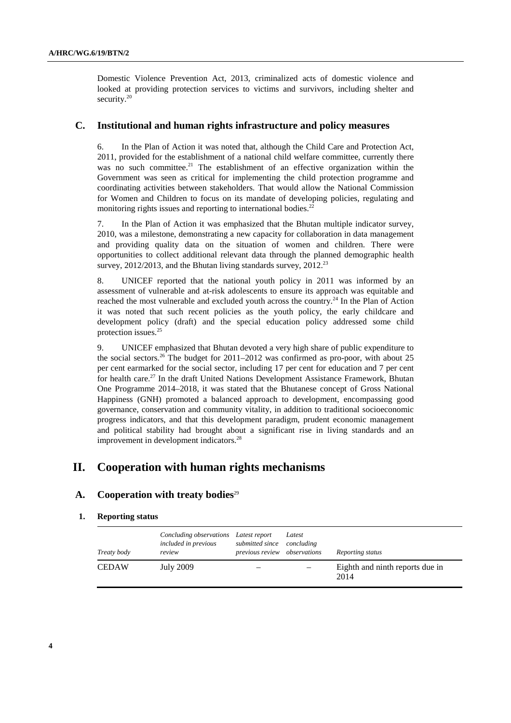Domestic Violence Prevention Act, 2013, criminalized acts of domestic violence and looked at providing protection services to victims and survivors, including shelter and security.<sup>20</sup>

## **C. Institutional and human rights infrastructure and policy measures**

6. In the Plan of Action it was noted that, although the Child Care and Protection Act, 2011, provided for the establishment of a national child welfare committee, currently there was no such committee.<sup>21</sup> The establishment of an effective organization within the Government was seen as critical for implementing the child protection programme and coordinating activities between stakeholders. That would allow the National Commission for Women and Children to focus on its mandate of developing policies, regulating and monitoring rights issues and reporting to international bodies.<sup>22</sup>

7. In the Plan of Action it was emphasized that the Bhutan multiple indicator survey, 2010, was a milestone, demonstrating a new capacity for collaboration in data management and providing quality data on the situation of women and children. There were opportunities to collect additional relevant data through the planned demographic health survey,  $2012/2013$ , and the Bhutan living standards survey,  $2012^{23}$ 

8. UNICEF reported that the national youth policy in 2011 was informed by an assessment of vulnerable and at-risk adolescents to ensure its approach was equitable and reached the most vulnerable and excluded youth across the country.<sup>24</sup> In the Plan of Action it was noted that such recent policies as the youth policy, the early childcare and development policy (draft) and the special education policy addressed some child protection issues.25

9. UNICEF emphasized that Bhutan devoted a very high share of public expenditure to the social sectors.<sup>26</sup> The budget for 2011–2012 was confirmed as pro-poor, with about 25 per cent earmarked for the social sector, including 17 per cent for education and 7 per cent for health care.<sup>27</sup> In the draft United Nations Development Assistance Framework, Bhutan One Programme 2014–2018, it was stated that the Bhutanese concept of Gross National Happiness (GNH) promoted a balanced approach to development, encompassing good governance, conservation and community vitality, in addition to traditional socioeconomic progress indicators, and that this development paradigm, prudent economic management and political stability had brought about a significant rise in living standards and an improvement in development indicators.<sup>28</sup>

## **II. Cooperation with human rights mechanisms**

#### A. Cooperation with treaty bodies<sup>29</sup>

#### **1. Reporting status**

| Treaty body  | Concluding observations<br>included in previous<br>review | Latest report<br>submitted since<br>previous review observations | Latest<br>concluding | Reporting status                        |
|--------------|-----------------------------------------------------------|------------------------------------------------------------------|----------------------|-----------------------------------------|
| <b>CEDAW</b> | July 2009                                                 |                                                                  |                      | Eighth and ninth reports due in<br>2014 |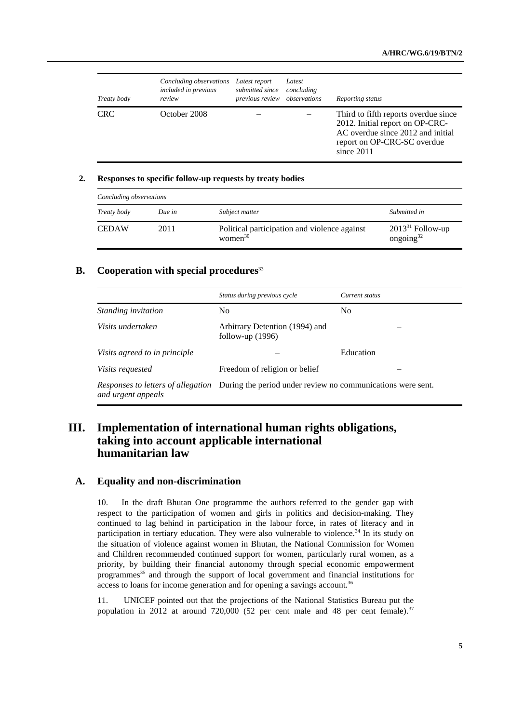| Treaty body | Concluding observations<br>included in previous<br>review | Latest report<br>submitted since<br>previous review observations | Latest<br>concluding | Reporting status                                                                                                                                            |
|-------------|-----------------------------------------------------------|------------------------------------------------------------------|----------------------|-------------------------------------------------------------------------------------------------------------------------------------------------------------|
| <b>CRC</b>  | October 2008                                              |                                                                  |                      | Third to fifth reports overdue since<br>2012. Initial report on OP-CRC-<br>AC overdue since 2012 and initial<br>report on OP-CRC-SC overdue<br>since $2011$ |

#### **2. Responses to specific follow-up requests by treaty bodies**

| Concluding observations |        |                                                            |                                       |
|-------------------------|--------|------------------------------------------------------------|---------------------------------------|
| Treaty body             | Due in | Subject matter                                             | Submitted in                          |
| <b>CEDAW</b>            | 2011   | Political participation and violence against<br>women $30$ | $2013^{31}$ Follow-up<br>ongoing $32$ |

#### **B.** Cooperation with special procedures<sup>33</sup>

|                               | Status during previous cycle                                                                   | Current status |
|-------------------------------|------------------------------------------------------------------------------------------------|----------------|
| <i>Standing invitation</i>    | No                                                                                             | N <sub>0</sub> |
| Visits undertaken             | Arbitrary Detention (1994) and<br>follow-up $(1996)$                                           |                |
| Visits agreed to in principle |                                                                                                | Education      |
| <i>Visits requested</i>       | Freedom of religion or belief                                                                  |                |
| and urgent appeals            | Responses to letters of allegation During the period under review no communications were sent. |                |

## **III. Implementation of international human rights obligations, taking into account applicable international humanitarian law**

#### **A. Equality and non-discrimination**

10. In the draft Bhutan One programme the authors referred to the gender gap with respect to the participation of women and girls in politics and decision-making. They continued to lag behind in participation in the labour force, in rates of literacy and in participation in tertiary education. They were also vulnerable to violence.<sup>34</sup> In its study on the situation of violence against women in Bhutan, the National Commission for Women and Children recommended continued support for women, particularly rural women, as a priority, by building their financial autonomy through special economic empowerment programmes<sup>35</sup> and through the support of local government and financial institutions for access to loans for income generation and for opening a savings account.<sup>36</sup>

11. UNICEF pointed out that the projections of the National Statistics Bureau put the population in 2012 at around 720,000 (52 per cent male and 48 per cent female).<sup>37</sup>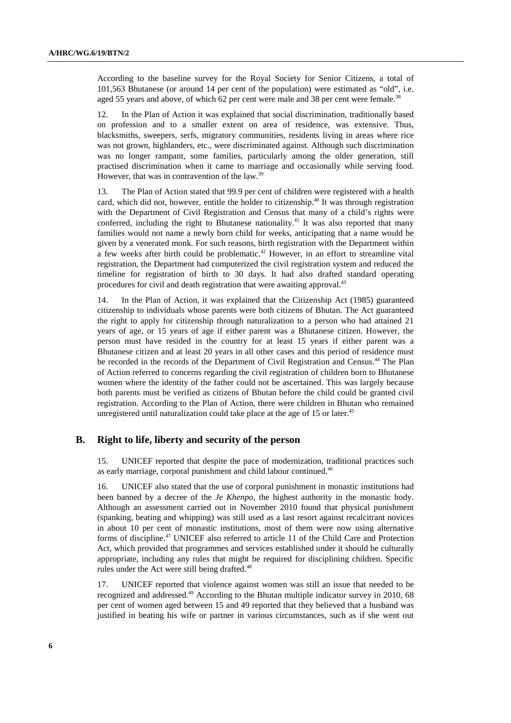According to the baseline survey for the Royal Society for Senior Citizens, a total of 101,563 Bhutanese (or around 14 per cent of the population) were estimated as "old", i.e. aged 55 years and above, of which 62 per cent were male and 38 per cent were female.<sup>38</sup>

12. In the Plan of Action it was explained that social discrimination, traditionally based on profession and to a smaller extent on area of residence, was extensive. Thus, blacksmiths, sweepers, serfs, migratory communities, residents living in areas where rice was not grown, highlanders, etc., were discriminated against. Although such discrimination was no longer rampant, some families, particularly among the older generation, still practised discrimination when it came to marriage and occasionally while serving food. However, that was in contravention of the law.39

13. The Plan of Action stated that 99.9 per cent of children were registered with a health card, which did not, however, entitle the holder to citizenship.<sup>40</sup> It was through registration with the Department of Civil Registration and Census that many of a child's rights were conferred, including the right to Bhutanese nationality.<sup>41</sup> It was also reported that many families would not name a newly born child for weeks, anticipating that a name would be given by a venerated monk. For such reasons, birth registration with the Department within a few weeks after birth could be problematic.<sup>42</sup> However, in an effort to streamline vital registration, the Department had computerized the civil registration system and reduced the timeline for registration of birth to 30 days. It had also drafted standard operating procedures for civil and death registration that were awaiting approval.<sup>43</sup>

14. In the Plan of Action, it was explained that the Citizenship Act (1985) guaranteed citizenship to individuals whose parents were both citizens of Bhutan. The Act guaranteed the right to apply for citizenship through naturalization to a person who had attained 21 years of age, or 15 years of age if either parent was a Bhutanese citizen. However, the person must have resided in the country for at least 15 years if either parent was a Bhutanese citizen and at least 20 years in all other cases and this period of residence must be recorded in the records of the Department of Civil Registration and Census.<sup>44</sup> The Plan of Action referred to concerns regarding the civil registration of children born to Bhutanese women where the identity of the father could not be ascertained. This was largely because both parents must be verified as citizens of Bhutan before the child could be granted civil registration. According to the Plan of Action, there were children in Bhutan who remained unregistered until naturalization could take place at the age of 15 or later.<sup>45</sup>

#### **B. Right to life, liberty and security of the person**

15. UNICEF reported that despite the pace of modernization, traditional practices such as early marriage, corporal punishment and child labour continued.<sup>46</sup>

16. UNICEF also stated that the use of corporal punishment in monastic institutions had been banned by a decree of the *Je Khenpo*, the highest authority in the monastic body. Although an assessment carried out in November 2010 found that physical punishment (spanking, beating and whipping) was still used as a last resort against recalcitrant novices in about 10 per cent of monastic institutions, most of them were now using alternative forms of discipline.47 UNICEF also referred to article 11 of the Child Care and Protection Act, which provided that programmes and services established under it should be culturally appropriate, including any rules that might be required for disciplining children. Specific rules under the Act were still being drafted.<sup>48</sup>

17. UNICEF reported that violence against women was still an issue that needed to be recognized and addressed.49 According to the Bhutan multiple indicator survey in 2010*,* 68 per cent of women aged between 15 and 49 reported that they believed that a husband was justified in beating his wife or partner in various circumstances, such as if she went out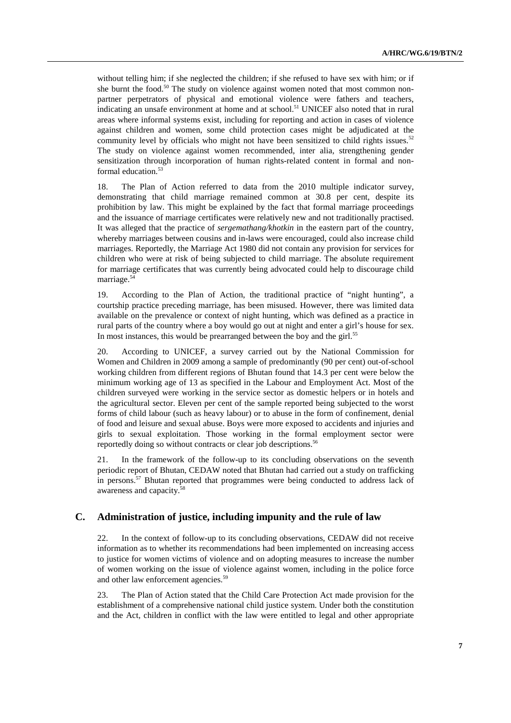without telling him; if she neglected the children; if she refused to have sex with him; or if she burnt the food. $50$  The study on violence against women noted that most common nonpartner perpetrators of physical and emotional violence were fathers and teachers, indicating an unsafe environment at home and at school.<sup>51</sup> UNICEF also noted that in rural areas where informal systems exist, including for reporting and action in cases of violence against children and women, some child protection cases might be adjudicated at the community level by officials who might not have been sensitized to child rights issues.<sup>52</sup> The study on violence against women recommended, inter alia, strengthening gender sensitization through incorporation of human rights-related content in formal and nonformal education.<sup>53</sup>

18. The Plan of Action referred to data from the 2010 multiple indicator survey, demonstrating that child marriage remained common at 30.8 per cent, despite its prohibition by law. This might be explained by the fact that formal marriage proceedings and the issuance of marriage certificates were relatively new and not traditionally practised. It was alleged that the practice of *sergemathang/khotkin* in the eastern part of the country, whereby marriages between cousins and in-laws were encouraged, could also increase child marriages. Reportedly, the Marriage Act 1980 did not contain any provision for services for children who were at risk of being subjected to child marriage. The absolute requirement for marriage certificates that was currently being advocated could help to discourage child marriage.54

19. According to the Plan of Action, the traditional practice of "night hunting", a courtship practice preceding marriage, has been misused. However, there was limited data available on the prevalence or context of night hunting, which was defined as a practice in rural parts of the country where a boy would go out at night and enter a girl's house for sex. In most instances, this would be prearranged between the boy and the girl.<sup>55</sup>

20. According to UNICEF, a survey carried out by the National Commission for Women and Children in 2009 among a sample of predominantly (90 per cent) out-of-school working children from different regions of Bhutan found that 14.3 per cent were below the minimum working age of 13 as specified in the Labour and Employment Act. Most of the children surveyed were working in the service sector as domestic helpers or in hotels and the agricultural sector. Eleven per cent of the sample reported being subjected to the worst forms of child labour (such as heavy labour) or to abuse in the form of confinement, denial of food and leisure and sexual abuse. Boys were more exposed to accidents and injuries and girls to sexual exploitation. Those working in the formal employment sector were reportedly doing so without contracts or clear job descriptions.<sup>56</sup>

21. In the framework of the follow-up to its concluding observations on the seventh periodic report of Bhutan, CEDAW noted that Bhutan had carried out a study on trafficking in persons.<sup>57</sup> Bhutan reported that programmes were being conducted to address lack of awareness and capacity.58

#### **C. Administration of justice, including impunity and the rule of law**

22. In the context of follow-up to its concluding observations, CEDAW did not receive information as to whether its recommendations had been implemented on increasing access to justice for women victims of violence and on adopting measures to increase the number of women working on the issue of violence against women, including in the police force and other law enforcement agencies.<sup>59</sup>

23. The Plan of Action stated that the Child Care Protection Act made provision for the establishment of a comprehensive national child justice system. Under both the constitution and the Act, children in conflict with the law were entitled to legal and other appropriate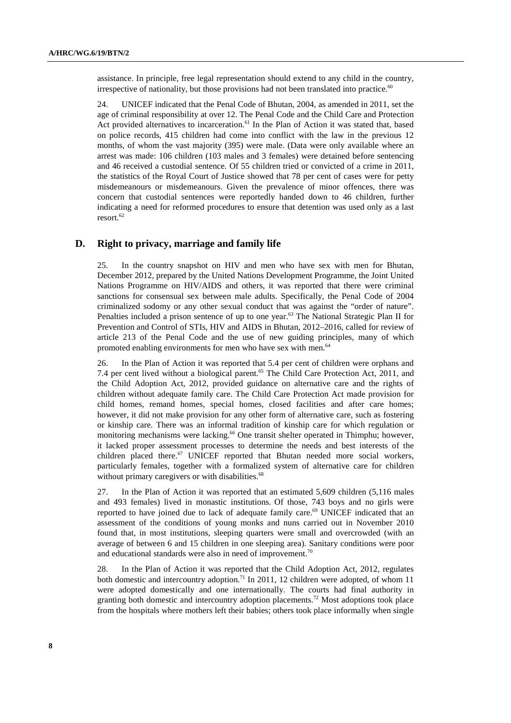assistance. In principle, free legal representation should extend to any child in the country, irrespective of nationality, but those provisions had not been translated into practice. $60$ 

24. UNICEF indicated that the Penal Code of Bhutan, 2004, as amended in 2011, set the age of criminal responsibility at over 12. The Penal Code and the Child Care and Protection Act provided alternatives to incarceration.<sup>61</sup> In the Plan of Action it was stated that, based on police records, 415 children had come into conflict with the law in the previous 12 months, of whom the vast majority (395) were male. (Data were only available where an arrest was made: 106 children (103 males and 3 females) were detained before sentencing and 46 received a custodial sentence. Of 55 children tried or convicted of a crime in 2011, the statistics of the Royal Court of Justice showed that 78 per cent of cases were for petty misdemeanours or misdemeanours. Given the prevalence of minor offences, there was concern that custodial sentences were reportedly handed down to 46 children, further indicating a need for reformed procedures to ensure that detention was used only as a last resort.<sup>62</sup>

#### **D. Right to privacy, marriage and family life**

25. In the country snapshot on HIV and men who have sex with men for Bhutan, December 2012*,* prepared by the United Nations Development Programme, the Joint United Nations Programme on HIV/AIDS and others, it was reported that there were criminal sanctions for consensual sex between male adults. Specifically, the Penal Code of 2004 criminalized sodomy or any other sexual conduct that was against the "order of nature". Penalties included a prison sentence of up to one year.<sup>63</sup> The National Strategic Plan II for Prevention and Control of STIs, HIV and AIDS in Bhutan, 2012–2016, called for review of article 213 of the Penal Code and the use of new guiding principles, many of which promoted enabling environments for men who have sex with men.<sup>64</sup>

26. In the Plan of Action it was reported that 5.4 per cent of children were orphans and 7.4 per cent lived without a biological parent.<sup>65</sup> The Child Care Protection Act, 2011, and the Child Adoption Act, 2012, provided guidance on alternative care and the rights of children without adequate family care. The Child Care Protection Act made provision for child homes, remand homes, special homes, closed facilities and after care homes; however, it did not make provision for any other form of alternative care, such as fostering or kinship care. There was an informal tradition of kinship care for which regulation or monitoring mechanisms were lacking.<sup>66</sup> One transit shelter operated in Thimphu; however, it lacked proper assessment processes to determine the needs and best interests of the children placed there. $67$  UNICEF reported that Bhutan needed more social workers, particularly females, together with a formalized system of alternative care for children without primary caregivers or with disabilities.<sup>68</sup>

27. In the Plan of Action it was reported that an estimated 5,609 children (5,116 males and 493 females) lived in monastic institutions. Of those, 743 boys and no girls were reported to have joined due to lack of adequate family care.<sup>69</sup> UNICEF indicated that an assessment of the conditions of young monks and nuns carried out in November 2010 found that, in most institutions, sleeping quarters were small and overcrowded (with an average of between 6 and 15 children in one sleeping area). Sanitary conditions were poor and educational standards were also in need of improvement.<sup>70</sup>

28. In the Plan of Action it was reported that the Child Adoption Act, 2012, regulates both domestic and intercountry adoption.<sup>71</sup> In 2011, 12 children were adopted, of whom 11 were adopted domestically and one internationally. The courts had final authority in granting both domestic and intercountry adoption placements.<sup>72</sup> Most adoptions took place from the hospitals where mothers left their babies; others took place informally when single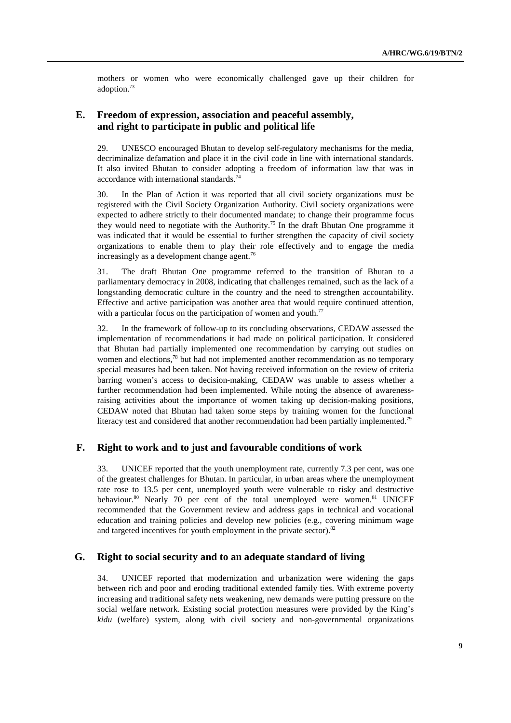mothers or women who were economically challenged gave up their children for adoption.73

## **E. Freedom of expression, association and peaceful assembly, and right to participate in public and political life**

29. UNESCO encouraged Bhutan to develop self-regulatory mechanisms for the media, decriminalize defamation and place it in the civil code in line with international standards. It also invited Bhutan to consider adopting a freedom of information law that was in accordance with international standards.<sup>74</sup>

30. In the Plan of Action it was reported that all civil society organizations must be registered with the Civil Society Organization Authority. Civil society organizations were expected to adhere strictly to their documented mandate; to change their programme focus they would need to negotiate with the Authority.75 In the draft Bhutan One programme it was indicated that it would be essential to further strengthen the capacity of civil society organizations to enable them to play their role effectively and to engage the media increasingly as a development change agent.<sup>76</sup>

31. The draft Bhutan One programme referred to the transition of Bhutan to a parliamentary democracy in 2008, indicating that challenges remained, such as the lack of a longstanding democratic culture in the country and the need to strengthen accountability. Effective and active participation was another area that would require continued attention, with a particular focus on the participation of women and youth.<sup>77</sup>

32. In the framework of follow-up to its concluding observations, CEDAW assessed the implementation of recommendations it had made on political participation. It considered that Bhutan had partially implemented one recommendation by carrying out studies on women and elections, $^{78}$  but had not implemented another recommendation as no temporary special measures had been taken. Not having received information on the review of criteria barring women's access to decision-making, CEDAW was unable to assess whether a further recommendation had been implemented. While noting the absence of awarenessraising activities about the importance of women taking up decision-making positions, CEDAW noted that Bhutan had taken some steps by training women for the functional literacy test and considered that another recommendation had been partially implemented.<sup>79</sup>

#### **F. Right to work and to just and favourable conditions of work**

33. UNICEF reported that the youth unemployment rate, currently 7.3 per cent, was one of the greatest challenges for Bhutan. In particular, in urban areas where the unemployment rate rose to 13.5 per cent, unemployed youth were vulnerable to risky and destructive behaviour.<sup>80</sup> Nearly 70 per cent of the total unemployed were women.<sup>81</sup> UNICEF recommended that the Government review and address gaps in technical and vocational education and training policies and develop new policies (e.g., covering minimum wage and targeted incentives for youth employment in the private sector). $82$ 

#### **G. Right to social security and to an adequate standard of living**

34. UNICEF reported that modernization and urbanization were widening the gaps between rich and poor and eroding traditional extended family ties. With extreme poverty increasing and traditional safety nets weakening, new demands were putting pressure on the social welfare network. Existing social protection measures were provided by the King's *kidu* (welfare) system, along with civil society and non-governmental organizations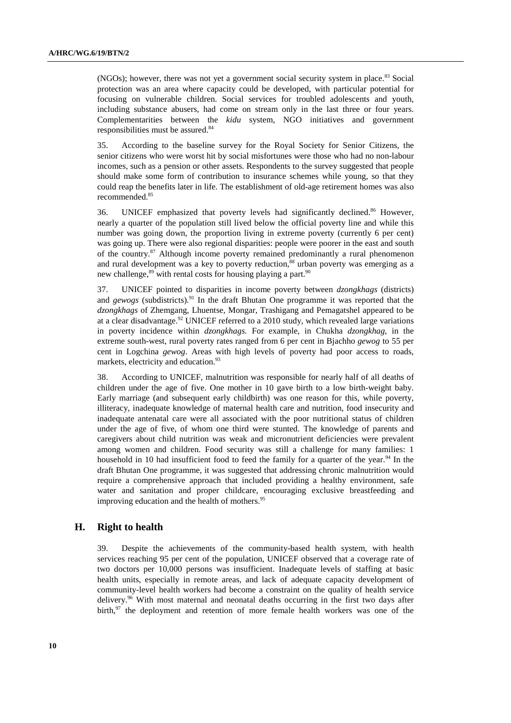(NGOs); however, there was not yet a government social security system in place.<sup>83</sup> Social protection was an area where capacity could be developed, with particular potential for focusing on vulnerable children. Social services for troubled adolescents and youth, including substance abusers, had come on stream only in the last three or four years. Complementarities between the *kidu* system, NGO initiatives and government responsibilities must be assured.<sup>84</sup>

35. According to the baseline survey for the Royal Society for Senior Citizens*,* the senior citizens who were worst hit by social misfortunes were those who had no non-labour incomes, such as a pension or other assets. Respondents to the survey suggested that people should make some form of contribution to insurance schemes while young, so that they could reap the benefits later in life. The establishment of old-age retirement homes was also recommended.<sup>85</sup>

36. UNICEF emphasized that poverty levels had significantly declined.86 However, nearly a quarter of the population still lived below the official poverty line and while this number was going down, the proportion living in extreme poverty (currently 6 per cent) was going up. There were also regional disparities: people were poorer in the east and south of the country.87 Although income poverty remained predominantly a rural phenomenon and rural development was a key to poverty reduction,<sup>88</sup> urban poverty was emerging as a new challenge, $89$  with rental costs for housing playing a part.  $90$ 

37. UNICEF pointed to disparities in income poverty between *dzongkhags* (districts) and *gewogs* (subdistricts)*.* <sup>91</sup> In the draft Bhutan One programme it was reported that the *dzongkhags* of Zhemgang, Lhuentse, Mongar, Trashigang and Pemagatshel appeared to be at a clear disadvantage.<sup>92</sup> UNICEF referred to a 2010 study, which revealed large variations in poverty incidence within *dzongkhags.* For example, in Chukha *dzongkhag*, in the extreme south-west, rural poverty rates ranged from 6 per cent in Bjachho *gewog* to 55 per cent in Logchina *gewog*. Areas with high levels of poverty had poor access to roads, markets, electricity and education.<sup>93</sup>

38. According to UNICEF, malnutrition was responsible for nearly half of all deaths of children under the age of five. One mother in 10 gave birth to a low birth-weight baby. Early marriage (and subsequent early childbirth) was one reason for this, while poverty, illiteracy, inadequate knowledge of maternal health care and nutrition, food insecurity and inadequate antenatal care were all associated with the poor nutritional status of children under the age of five, of whom one third were stunted. The knowledge of parents and caregivers about child nutrition was weak and micronutrient deficiencies were prevalent among women and children. Food security was still a challenge for many families: 1 household in 10 had insufficient food to feed the family for a quarter of the year.<sup>94</sup> In the draft Bhutan One programme, it was suggested that addressing chronic malnutrition would require a comprehensive approach that included providing a healthy environment, safe water and sanitation and proper childcare, encouraging exclusive breastfeeding and improving education and the health of mothers. $95$ 

#### **H. Right to health**

39. Despite the achievements of the community-based health system, with health services reaching 95 per cent of the population, UNICEF observed that a coverage rate of two doctors per 10,000 persons was insufficient. Inadequate levels of staffing at basic health units, especially in remote areas, and lack of adequate capacity development of community-level health workers had become a constraint on the quality of health service delivery.96 With most maternal and neonatal deaths occurring in the first two days after birth, $97$  the deployment and retention of more female health workers was one of the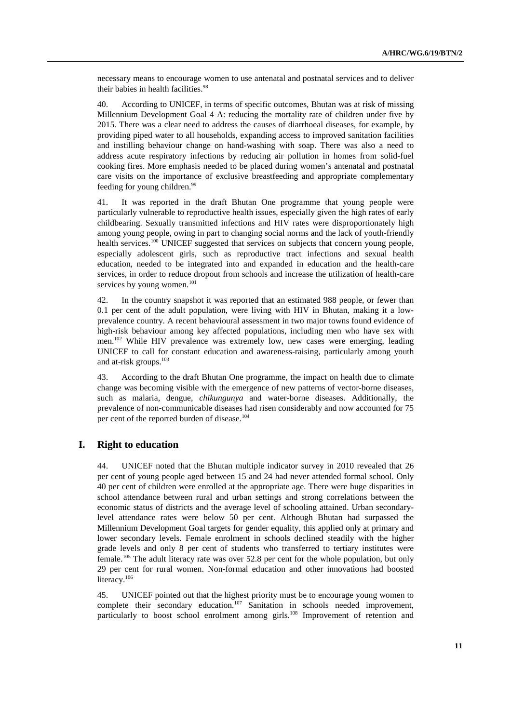necessary means to encourage women to use antenatal and postnatal services and to deliver their babies in health facilities.<sup>98</sup>

40. According to UNICEF, in terms of specific outcomes, Bhutan was at risk of missing Millennium Development Goal 4 A: reducing the mortality rate of children under five by 2015. There was a clear need to address the causes of diarrhoeal diseases, for example, by providing piped water to all households, expanding access to improved sanitation facilities and instilling behaviour change on hand-washing with soap. There was also a need to address acute respiratory infections by reducing air pollution in homes from solid-fuel cooking fires. More emphasis needed to be placed during women's antenatal and postnatal care visits on the importance of exclusive breastfeeding and appropriate complementary feeding for young children.<sup>99</sup>

41. It was reported in the draft Bhutan One programme that young people were particularly vulnerable to reproductive health issues, especially given the high rates of early childbearing. Sexually transmitted infections and HIV rates were disproportionately high among young people, owing in part to changing social norms and the lack of youth-friendly health services.<sup>100</sup> UNICEF suggested that services on subjects that concern young people, especially adolescent girls, such as reproductive tract infections and sexual health education, needed to be integrated into and expanded in education and the health-care services, in order to reduce dropout from schools and increase the utilization of health-care services by young women. $101$ 

42. In the country snapshot it was reported that an estimated 988 people, or fewer than 0.1 per cent of the adult population, were living with HIV in Bhutan, making it a lowprevalence country. A recent behavioural assessment in two major towns found evidence of high-risk behaviour among key affected populations, including men who have sex with men.<sup>102</sup> While HIV prevalence was extremely low, new cases were emerging, leading UNICEF to call for constant education and awareness-raising, particularly among youth and at-risk groups.<sup>103</sup>

43. According to the draft Bhutan One programme, the impact on health due to climate change was becoming visible with the emergence of new patterns of vector-borne diseases, such as malaria, dengue, *chikungunya* and water-borne diseases. Additionally, the prevalence of non-communicable diseases had risen considerably and now accounted for 75 per cent of the reported burden of disease.<sup>104</sup>

#### **I. Right to education**

44. UNICEF noted that the Bhutan multiple indicator survey in 2010 revealed that 26 per cent of young people aged between 15 and 24 had never attended formal school. Only 40 per cent of children were enrolled at the appropriate age. There were huge disparities in school attendance between rural and urban settings and strong correlations between the economic status of districts and the average level of schooling attained. Urban secondarylevel attendance rates were below 50 per cent. Although Bhutan had surpassed the Millennium Development Goal targets for gender equality, this applied only at primary and lower secondary levels. Female enrolment in schools declined steadily with the higher grade levels and only 8 per cent of students who transferred to tertiary institutes were female.105 The adult literacy rate was over 52.8 per cent for the whole population, but only 29 per cent for rural women. Non-formal education and other innovations had boosted literacy.<sup>106</sup>

45. UNICEF pointed out that the highest priority must be to encourage young women to complete their secondary education.<sup>107</sup> Sanitation in schools needed improvement, particularly to boost school enrolment among girls.<sup>108</sup> Improvement of retention and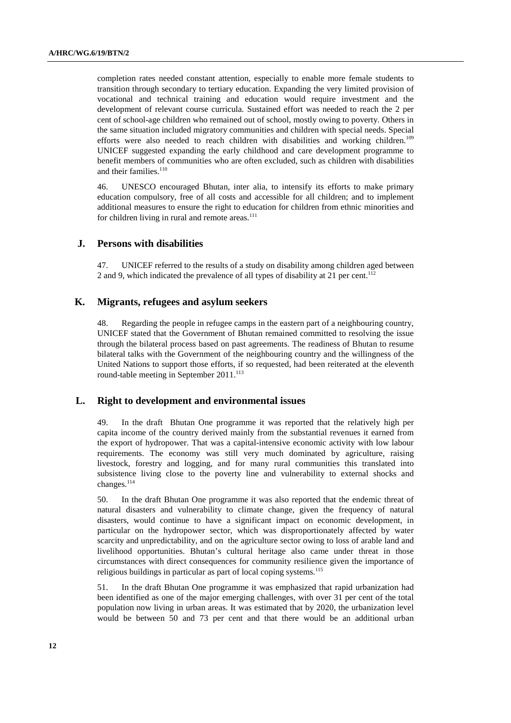completion rates needed constant attention, especially to enable more female students to transition through secondary to tertiary education. Expanding the very limited provision of vocational and technical training and education would require investment and the development of relevant course curricula. Sustained effort was needed to reach the 2 per cent of school-age children who remained out of school, mostly owing to poverty. Others in the same situation included migratory communities and children with special needs. Special efforts were also needed to reach children with disabilities and working children.<sup>109</sup> UNICEF suggested expanding the early childhood and care development programme to benefit members of communities who are often excluded, such as children with disabilities and their families. $110$ 

46. UNESCO encouraged Bhutan, inter alia, to intensify its efforts to make primary education compulsory, free of all costs and accessible for all children; and to implement additional measures to ensure the right to education for children from ethnic minorities and for children living in rural and remote areas. $111$ 

#### **J. Persons with disabilities**

47. UNICEF referred to the results of a study on disability among children aged between 2 and 9, which indicated the prevalence of all types of disability at 21 per cent.<sup>112</sup>

## **K. Migrants, refugees and asylum seekers**

48. Regarding the people in refugee camps in the eastern part of a neighbouring country, UNICEF stated that the Government of Bhutan remained committed to resolving the issue through the bilateral process based on past agreements. The readiness of Bhutan to resume bilateral talks with the Government of the neighbouring country and the willingness of the United Nations to support those efforts, if so requested, had been reiterated at the eleventh round-table meeting in September  $2011$ <sup>113</sup>

#### **L. Right to development and environmental issues**

49. In the draft Bhutan One programme it was reported that the relatively high per capita income of the country derived mainly from the substantial revenues it earned from the export of hydropower. That was a capital-intensive economic activity with low labour requirements. The economy was still very much dominated by agriculture, raising livestock, forestry and logging, and for many rural communities this translated into subsistence living close to the poverty line and vulnerability to external shocks and changes.<sup>114</sup>

50. In the draft Bhutan One programme it was also reported that the endemic threat of natural disasters and vulnerability to climate change, given the frequency of natural disasters, would continue to have a significant impact on economic development, in particular on the hydropower sector, which was disproportionately affected by water scarcity and unpredictability, and on the agriculture sector owing to loss of arable land and livelihood opportunities. Bhutan's cultural heritage also came under threat in those circumstances with direct consequences for community resilience given the importance of religious buildings in particular as part of local coping systems.<sup>115</sup>

51. In the draft Bhutan One programme it was emphasized that rapid urbanization had been identified as one of the major emerging challenges, with over 31 per cent of the total population now living in urban areas. It was estimated that by 2020, the urbanization level would be between 50 and 73 per cent and that there would be an additional urban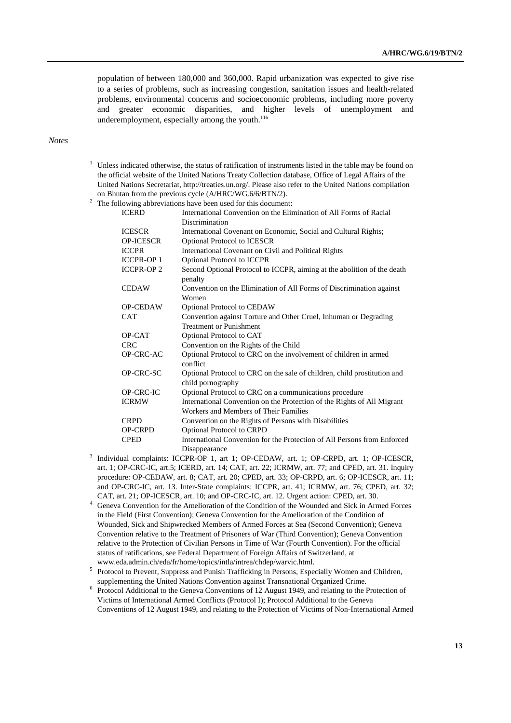population of between 180,000 and 360,000. Rapid urbanization was expected to give rise to a series of problems, such as increasing congestion, sanitation issues and health-related problems, environmental concerns and socioeconomic problems, including more poverty and greater economic disparities, and higher levels of unemployment and underemployment, especially among the youth. $116$ 

#### *Notes*

<sup>1</sup> Unless indicated otherwise, the status of ratification of instruments listed in the table may be found on the official website of the United Nations Treaty Collection database, Office of Legal Affairs of the United Nations Secretariat, http://treaties.un.org/. Please also refer to the United Nations compilation on Bhutan from the previous cycle  $(A/HRC/WG.6/6/BTN/2)$ .

 $\frac{2}{3}$  The following abbreviations have been used for this document:

| <b>ICERD</b>     | International Convention on the Elimination of All Forms of Racial                            |
|------------------|-----------------------------------------------------------------------------------------------|
|                  | Discrimination                                                                                |
| <b>ICESCR</b>    | International Covenant on Economic, Social and Cultural Rights;                               |
| <b>OP-ICESCR</b> | Optional Protocol to ICESCR                                                                   |
| <b>ICCPR</b>     | International Covenant on Civil and Political Rights                                          |
| <b>ICCPR-OP1</b> | <b>Optional Protocol to ICCPR</b>                                                             |
| <b>ICCPR-OP2</b> | Second Optional Protocol to ICCPR, aiming at the abolition of the death<br>penalty            |
| <b>CEDAW</b>     | Convention on the Elimination of All Forms of Discrimination against<br>Women                 |
| <b>OP-CEDAW</b>  | <b>Optional Protocol to CEDAW</b>                                                             |
| <b>CAT</b>       | Convention against Torture and Other Cruel, Inhuman or Degrading                              |
|                  | <b>Treatment or Punishment</b>                                                                |
| OP-CAT           | Optional Protocol to CAT                                                                      |
| <b>CRC</b>       | Convention on the Rights of the Child                                                         |
| OP-CRC-AC        | Optional Protocol to CRC on the involvement of children in armed<br>conflict                  |
| OP-CRC-SC        | Optional Protocol to CRC on the sale of children, child prostitution and<br>child pornography |
| OP-CRC-IC        | Optional Protocol to CRC on a communications procedure                                        |
| <b>ICRMW</b>     | International Convention on the Protection of the Rights of All Migrant                       |
|                  | Workers and Members of Their Families                                                         |
| <b>CRPD</b>      | Convention on the Rights of Persons with Disabilities                                         |
| <b>OP-CRPD</b>   | <b>Optional Protocol to CRPD</b>                                                              |
| <b>CPED</b>      | International Convention for the Protection of All Persons from Enforced                      |
|                  | Disappearance                                                                                 |

- <sup>3</sup> <sup>3</sup> Individual complaints: ICCPR-OP 1, art 1; OP-CEDAW, art. 1; OP-CRPD, art. 1; OP-ICESCR, art. 1; OP-CRC-IC, art.5; ICERD, art. 14; CAT, art. 22; ICRMW, art. 77; and CPED, art. 31. Inquiry procedure: OP-CEDAW, art. 8; CAT, art. 20; CPED, art. 33; OP-CRPD, art. 6; OP-ICESCR, art. 11; and OP-CRC-IC, art. 13. Inter-State complaints: ICCPR, art. 41; ICRMW, art. 76; CPED, art. 32;
	- CAT, art. 21; OP-ICESCR, art. 10; and OP-CRC-IC, art. 12. Urgent action: CPED, art. 30. 4 Geneva Convention for the Amelioration of the Condition of the Wounded and Sick in Armed Forces in the Field (First Convention); Geneva Convention for the Amelioration of the Condition of Wounded, Sick and Shipwrecked Members of Armed Forces at Sea (Second Convention); Geneva Convention relative to the Treatment of Prisoners of War (Third Convention); Geneva Convention relative to the Protection of Civilian Persons in Time of War (Fourth Convention). For the official status of ratifications, see Federal Department of Foreign Affairs of Switzerland, at
	- www.eda.admin.ch/eda/fr/home/topics/intla/intrea/chdep/warvic.html.<br><sup>5</sup> Protocol to Prevent, Suppress and Punish Trafficking in Persons, Especially Women and Children,
	- supplementing the United Nations Convention against Transnational Organized Crime. 6 Protocol Additional to the Geneva Conventions of 12 August 1949, and relating to the Protection of Victims of International Armed Conflicts (Protocol I); Protocol Additional to the Geneva Conventions of 12 August 1949, and relating to the Protection of Victims of Non-International Armed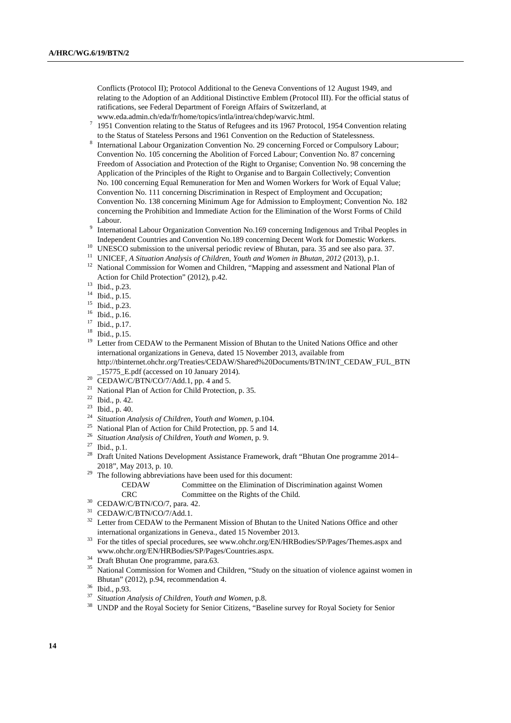Conflicts (Protocol II); Protocol Additional to the Geneva Conventions of 12 August 1949, and relating to the Adoption of an Additional Distinctive Emblem (Protocol III). For the official status of ratifications, see Federal Department of Foreign Affairs of Switzerland, at www.eda.admin.ch/eda/fr/home/topics/intla/intrea/chdep/warvic.html. 7

- $1951$  Convention relating to the Status of Refugees and its 1967 Protocol, 1954 Convention relating to the Status of Stateless Persons and 1961 Convention on the Reduction of Statelessness.
- International Labour Organization Convention No. 29 concerning Forced or Compulsory Labour; Convention No. 105 concerning the Abolition of Forced Labour; Convention No. 87 concerning Freedom of Association and Protection of the Right to Organise; Convention No. 98 concerning the Application of the Principles of the Right to Organise and to Bargain Collectively; Convention No. 100 concerning Equal Remuneration for Men and Women Workers for Work of Equal Value; Convention No. 111 concerning Discrimination in Respect of Employment and Occupation; Convention No. 138 concerning Minimum Age for Admission to Employment; Convention No. 182 concerning the Prohibition and Immediate Action for the Elimination of the Worst Forms of Child
- Labour.<br><sup>9</sup> International Labour Organization Convention No.169 concerning Indigenous and Tribal Peoples in
- Independent Countries and Convention No.189 concerning Decent Work for Domestic Workers.<br><sup>10</sup> UNESCO submission to the universal periodic review of Bhutan, para. 35 and see also para. 37.<br><sup>11</sup> UNICEF, *A Situation Analysis*
- 
- <sup>12</sup> National Commission for Women and Children, "Mapping and assessment and National Plan of Action for Child Protection" (2012), p.42.<br><sup>13</sup> Ibid., p.23.
- 
- $14$  Ibid., p.15.
- 
- $^{15}$  Ibid., p.23.
- $^{16}$  Ibid., p.16.<br><sup>17</sup> Ibid. p.17  $^{17}$  Ibid., p.17.<br> $^{18}$  Ibid., p.15.
- $\frac{18}{19}$  Ibid., p.15.
- Letter from CEDAW to the Permanent Mission of Bhutan to the United Nations Office and other international organizations in Geneva, dated 15 November 2013, available from http://tbinternet.ohchr.org/Treaties/CEDAW/Shared%20Documents/BTN/INT\_CEDAW\_FUL\_BTN \_15775\_E.pdf (accessed on 10 January 2014).
- $^{20}$  CEDAW/C/BTN/CO/7/Add.1, pp. 4 and 5.
- 21 National Plan of Action for Child Protection, p. 35.
- $22$  Ibid., p. 42.
- 
- <sup>23</sup> Ibid., p. 40.<br><sup>24</sup> Situation Analysis of Children, Youth and Women, p.104.
- <sup>25</sup> National Plan of Action for Child Protection, pp. 5 and 14.
- <sup>26</sup> *Situation Analysis of Children, Youth and Women*, p. 9.
- 27 Ibid., p.1.
- <sup>28</sup> Draft United Nations Development Assistance Framework, draft "Bhutan One programme 2014– 2018", May 2013, p. 10.  $^{29}$  The following abbreviations have been used for this document:
- 

CEDAW Committee on the Elimination of Discrimination against Women CRC Committee on the Rights of the Child. 30 CEDAW/C/BTN/CO/7, para. 42.

- 
- <sup>31</sup> CEDAW/C/BTN/CO/7/Add.1.
- <sup>32</sup> Letter from CEDAW to the Permanent Mission of Bhutan to the United Nations Office and other international organizations in Geneva., dated 15 November 2013.<br><sup>33</sup> For the titles of special procedures, see www.ohchr.org/EN/HRBodies/SP/Pages/Themes.aspx and
- www.ohchr.org/EN/HRBodies/SP/Pages/Countries.aspx. 34 Draft Bhutan One programme, para.63.
- 
- <sup>35</sup> National Commission for Women and Children, "Study on the situation of violence against women in Bhutan" (2012), p.94, recommendation 4.<br>
<sup>36</sup> Ibid., p.93.<br>
<sup>37</sup> Situation Anglasis of *Children*, Youth and
- 
- <sup>37</sup> *Situation Analysis of Children, Youth and Women, p.8.* 38 UNDP and the Royal Society for Senior Citizens, "Baseline survey for Royal Society for Senior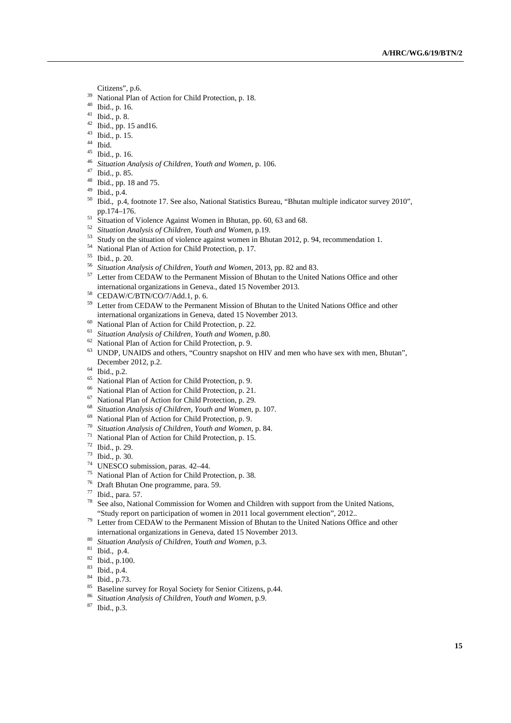- 
- Citizens", p.6.<br><sup>39</sup> National Plan of Action for Child Protection, p. 18.<br><sup>40</sup> Phid a a 16
- $^{40}$  Ibid., p. 16.
- $^{41}$  Ibid., p. 8.
- $^{42}$  Ibid., pp. 15 and 16.
- $^{43}$  Ibid., p. 15.
- $rac{44}{45}$  Ibid.
- 45 Ibid., p. 16.
- <sup>46</sup> *Situation Analysis of Children, Youth and Women*, p. 106. 47 Ibid., p. 85.
- 
- 48 Ibid., pp. 18 and 75.
- 49 Ibid., p.4.
- 50 Ibid., p.4, footnote 17. See also, National Statistics Bureau, "Bhutan multiple indicator survey 2010", pp.174–176.<br>
<sup>51</sup> Situation of Violence Against Women in Bhutan, pp. 60, 63 and 68.<br>
<sup>52</sup> Situation Analysis of Children, Youth and Women, p.19.
- 
- 
- <sup>53</sup> Study on the situation of violence against women in Bhutan 2012, p. 94, recommendation 1.
- 54 National Plan of Action for Child Protection, p. 17.
- 
- <sup>55</sup> Ibid., p. 20.<br><sup>56</sup> Situation Analysis of Children, Youth and Women, 2013, pp. 82 and 83.
- <sup>57</sup> Letter from CEDAW to the Permanent Mission of Bhutan to the United Nations Office and other international organizations in Geneva., dated 15 November 2013. 58 CEDAW/C/BTN/CO/7/Add.1, p. 6.
- 
- <sup>59</sup> Letter from CEDAW to the Permanent Mission of Bhutan to the United Nations Office and other international organizations in Geneva, dated 15 November 2013.<br><sup>60</sup> National Plan of Action for Child Protection, p. 22.<br><sup>61</sup> Situation Anglysis of Children, Youth and Woman p. 80.
- 
- <sup>61</sup> *Situation Analysis of Children, Youth and Women*, p.80. 62 National Plan of Action for Child Protection, p. 9.
- 
- <sup>63</sup> UNDP, UNAIDS and others, "Country snapshot on HIV and men who have sex with men, Bhutan", December 2012, p.2. 64 Ibid., p.2.
- 
- <sup>65</sup> National Plan of Action for Child Protection, p. 9.<br><sup>66</sup> National Plan of Action for Child Protection, p. 21
- National Plan of Action for Child Protection, p. 21.
- 67 National Plan of Action for Child Protection, p. 29.
- <sup>68</sup> *Situation Analysis of Children, Youth and Women, p. 107.* 69 National Plan of Action for Child Protection, p. 9.
- 
- <sup>70</sup> *Situation Analysis of Children, Youth and Women*, p. 84. 71 National Plan of Action for Child Protection, p. 15.
- 
- 72 Ibid., p. 29.
- 73 Ibid., p. 30.
- 74 UNESCO submission, paras. 42–44.
- 75 National Plan of Action for Child Protection, p. 38.
- 76 Draft Bhutan One programme, para. 59.
- $\frac{77}{78}$  Ibid., para. 57.
- See also, National Commission for Women and Children with support from the United Nations,
- "Study report on participation of women in 2011 local government election", 2012.. 79 Letter from CEDAW to the Permanent Mission of Bhutan to the United Nations Office and other international organizations in Geneva, dated 15 November 2013. 80 *Situation Analysis of Children, Youth and Women*, p.3. 81 Ibid., p.4.
- 
- 
- 82 Ibid., p.100.
- $\frac{83}{84}$  Ibid., p.4.
- $\frac{84}{85}$  Ibid., p.73.
- Baseline survey for Royal Society for Senior Citizens, p.44.
- <sup>86</sup> *Situation Analysis of Children, Youth and Women*, p.9. 87 Ibid., p.3.
-